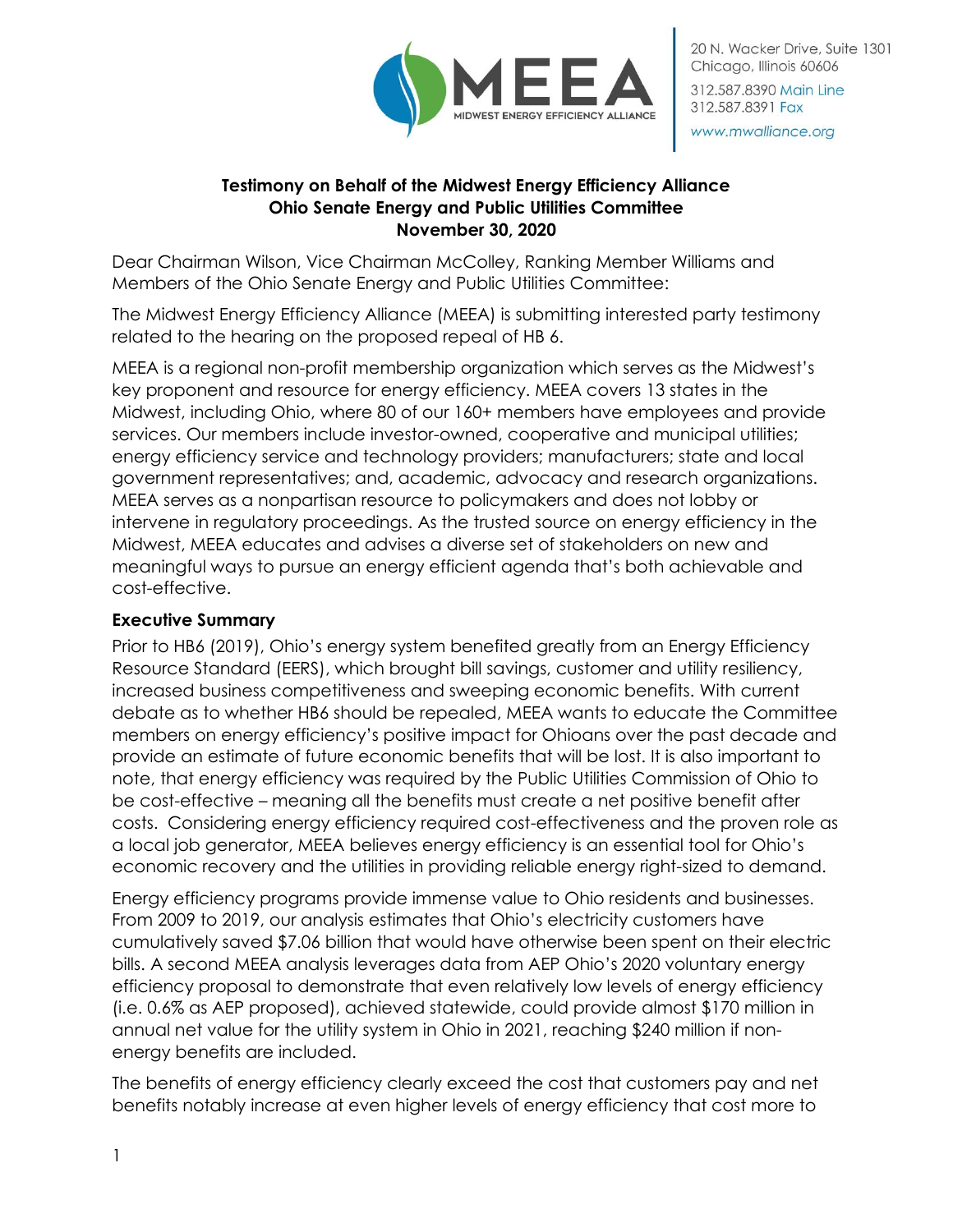

#### www.mwalliance.org

## **Testimony on Behalf of the Midwest Energy Efficiency Alliance Ohio Senate Energy and Public Utilities Committee November 30, 2020**

Dear Chairman Wilson, Vice Chairman McColley, Ranking Member Williams and Members of the Ohio Senate Energy and Public Utilities Committee:

The Midwest Energy Efficiency Alliance (MEEA) is submitting interested party testimony related to the hearing on the proposed repeal of HB 6.

MEEA is a regional non-profit membership organization which serves as the Midwest's key proponent and resource for energy efficiency. MEEA covers 13 states in the Midwest, including Ohio, where 80 of our 160+ members have employees and provide services. Our members include investor-owned, cooperative and municipal utilities; energy efficiency service and technology providers; manufacturers; state and local government representatives; and, academic, advocacy and research organizations. MEEA serves as a nonpartisan resource to policymakers and does not lobby or intervene in regulatory proceedings. As the trusted source on energy efficiency in the Midwest, MEEA educates and advises a diverse set of stakeholders on new and meaningful ways to pursue an energy efficient agenda that's both achievable and cost-effective.

### **Executive Summary**

Prior to HB6 (2019), Ohio's energy system benefited greatly from an Energy Efficiency Resource Standard (EERS), which brought bill savings, customer and utility resiliency, increased business competitiveness and sweeping economic benefits. With current debate as to whether HB6 should be repealed, MEEA wants to educate the Committee members on energy efficiency's positive impact for Ohioans over the past decade and provide an estimate of future economic benefits that will be lost. It is also important to note, that energy efficiency was required by the Public Utilities Commission of Ohio to be cost-effective – meaning all the benefits must create a net positive benefit after costs. Considering energy efficiency required cost-effectiveness and the proven role as a local job generator, MEEA believes energy efficiency is an essential tool for Ohio's economic recovery and the utilities in providing reliable energy right-sized to demand.

Energy efficiency programs provide immense value to Ohio residents and businesses. From 2009 to 2019, our analysis estimates that Ohio's electricity customers have cumulatively saved \$7.06 billion that would have otherwise been spent on their electric bills. A second MEEA analysis leverages data from AEP Ohio's 2020 voluntary energy efficiency proposal to demonstrate that even relatively low levels of energy efficiency (i.e. 0.6% as AEP proposed), achieved statewide, could provide almost \$170 million in annual net value for the utility system in Ohio in 2021, reaching \$240 million if nonenergy benefits are included.

The benefits of energy efficiency clearly exceed the cost that customers pay and net benefits notably increase at even higher levels of energy efficiency that cost more to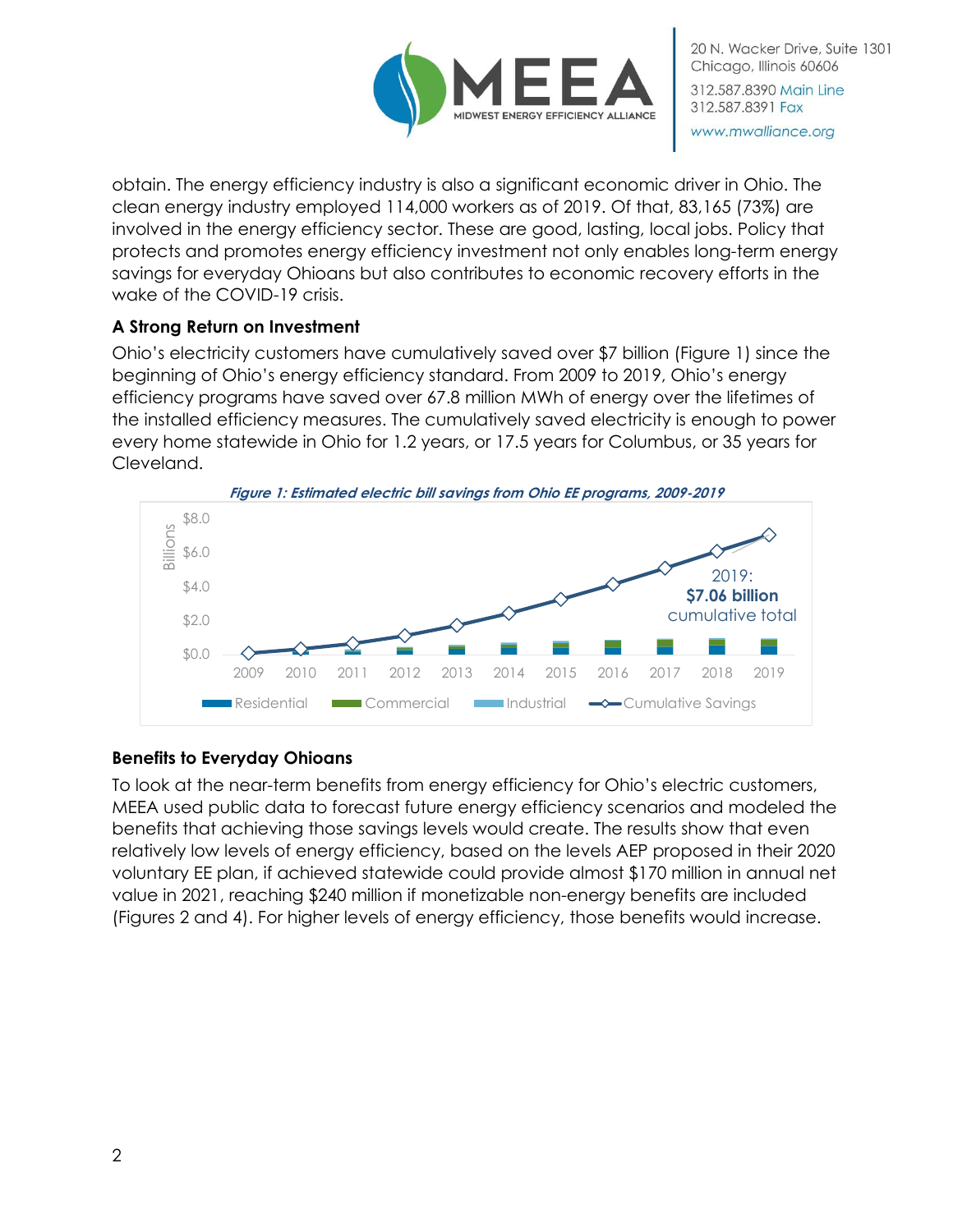

obtain. The energy efficiency industry is also a significant economic driver in Ohio. The clean energy industry employed 114,000 workers as of 2019. Of that, 83,165 (73%) are involved in the energy efficiency sector. These are good, lasting, local jobs. Policy that protects and promotes energy efficiency investment not only enables long-term energy savings for everyday Ohioans but also contributes to economic recovery efforts in the wake of the COVID-19 crisis.

## **A Strong Return on Investment**

Ohio's electricity customers have cumulatively saved over \$7 billion (Figure 1) since the beginning of Ohio's energy efficiency standard. From 2009 to 2019, Ohio's energy efficiency programs have saved over 67.8 million MWh of energy over the lifetimes of the installed efficiency measures. The cumulatively saved electricity is enough to power every home statewide in Ohio for 1.2 years, or 17.5 years for Columbus, or 35 years for Cleveland.



# **Benefits to Everyday Ohioans**

To look at the near-term benefits from energy efficiency for Ohio's electric customers, MEEA used public data to forecast future energy efficiency scenarios and modeled the benefits that achieving those savings levels would create. The results show that even relatively low levels of energy efficiency, based on the levels AEP proposed in their 2020 voluntary EE plan, if achieved statewide could provide almost \$170 million in annual net value in 2021, reaching \$240 million if monetizable non-energy benefits are included (Figures 2 and 4). For higher levels of energy efficiency, those benefits would increase.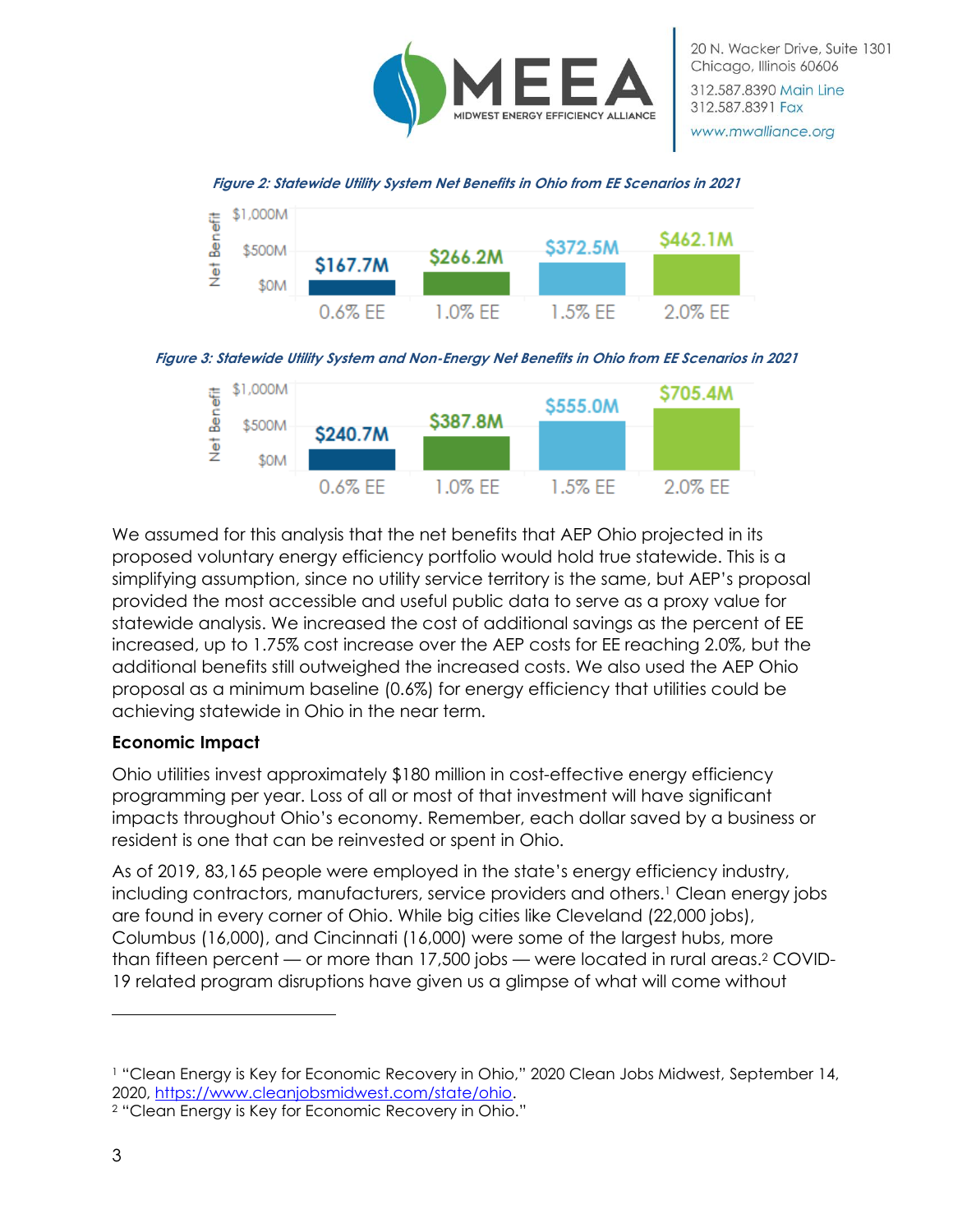

20 N. Wacker Drive, Suite 1301 Chicago, Illinois 60606 312.587.8390 Main Line 312.587.8391 Fax www.mwalliance.org









We assumed for this analysis that the net benefits that AEP Ohio projected in its proposed voluntary energy efficiency portfolio would hold true statewide. This is a simplifying assumption, since no utility service territory is the same, but AEP's proposal provided the most accessible and useful public data to serve as a proxy value for statewide analysis. We increased the cost of additional savings as the percent of EE increased, up to 1.75% cost increase over the AEP costs for EE reaching 2.0%, but the additional benefits still outweighed the increased costs. We also used the AEP Ohio proposal as a minimum baseline (0.6%) for energy efficiency that utilities could be achieving statewide in Ohio in the near term.

### **Economic Impact**

Ohio utilities invest approximately \$180 million in cost-effective energy efficiency programming per year. Loss of all or most of that investment will have significant impacts throughout Ohio's economy. Remember, each dollar saved by a business or resident is one that can be reinvested or spent in Ohio.

As of 2019, 83,165 people were employed in the state's energy efficiency industry, including contractors, manufacturers, service providers and others.<sup>1</sup> Clean energy jobs are found in every corner of Ohio. While big cities like Cleveland (22,000 jobs), Columbus (16,000), and Cincinnati (16,000) were some of the largest hubs, more than fifteen percent — or more than 17,500 jobs — were located in rural areas.<sup>2</sup> COVID-19 related program disruptions have given us a glimpse of what will come without

<sup>1</sup> "Clean Energy is Key for Economic Recovery in Ohio," 2020 Clean Jobs Midwest, September 14, 2020, [https://www.cleanjobsmidwest.com/state/ohio.](https://www.cleanjobsmidwest.com/state/ohio)

<sup>2</sup> "Clean Energy is Key for Economic Recovery in Ohio."